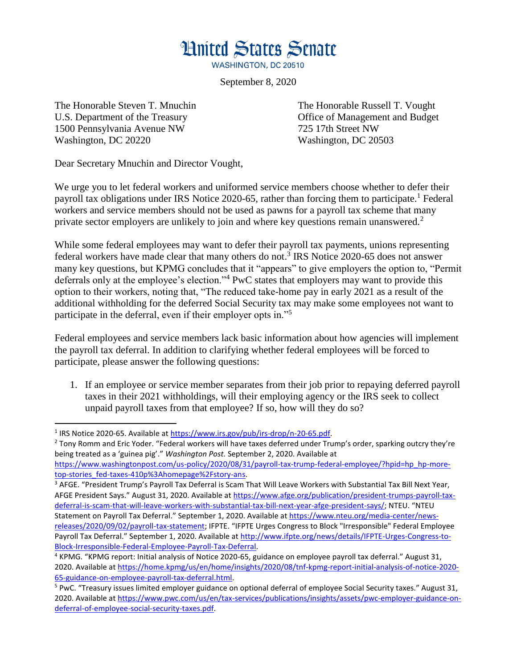**Hnited States Senate** 

**WASHINGTON, DC 20510** 

September 8, 2020

1500 Pennsylvania Avenue NW 725 17th Street NW Washington, DC 20220 Washington, DC 20503

 $\overline{a}$ 

The Honorable Steven T. Mnuchin The Honorable Russell T. Vought U.S. Department of the Treasury **Office of Management and Budget** 

Dear Secretary Mnuchin and Director Vought,

We urge you to let federal workers and uniformed service members choose whether to defer their payroll tax obligations under IRS Notice 2020-65, rather than forcing them to participate.<sup>1</sup> Federal workers and service members should not be used as pawns for a payroll tax scheme that many private sector employers are unlikely to join and where key questions remain unanswered.<sup>2</sup>

While some federal employees may want to defer their payroll tax payments, unions representing federal workers have made clear that many others do not.<sup>3</sup> IRS Notice 2020-65 does not answer many key questions, but KPMG concludes that it "appears" to give employers the option to, "Permit deferrals only at the employee's election."<sup>4</sup> PwC states that employers may want to provide this option to their workers, noting that, "The reduced take-home pay in early 2021 as a result of the additional withholding for the deferred Social Security tax may make some employees not want to participate in the deferral, even if their employer opts in."<sup>5</sup>

Federal employees and service members lack basic information about how agencies will implement the payroll tax deferral. In addition to clarifying whether federal employees will be forced to participate, please answer the following questions:

1. If an employee or service member separates from their job prior to repaying deferred payroll taxes in their 2021 withholdings, will their employing agency or the IRS seek to collect unpaid payroll taxes from that employee? If so, how will they do so?

 $3$  AFGE. "President Trump's Payroll Tax Deferral is Scam That Will Leave Workers with Substantial Tax Bill Next Year, AFGE President Says." August 31, 2020. Available at [https://www.afge.org/publication/president-trumps-payroll-tax](https://www.afge.org/publication/president-trumps-payroll-tax-deferral-is-scam-that-will-leave-workers-with-substantial-tax-bill-next-year-afge-president-says/)[deferral-is-scam-that-will-leave-workers-with-substantial-tax-bill-next-year-afge-president-says/](https://www.afge.org/publication/president-trumps-payroll-tax-deferral-is-scam-that-will-leave-workers-with-substantial-tax-bill-next-year-afge-president-says/); NTEU. "NTEU Statement on Payroll Tax Deferral." September 1, 2020. Available at [https://www.nteu.org/media-center/news](https://www.nteu.org/media-center/news-releases/2020/09/02/payroll-tax-statement)[releases/2020/09/02/payroll-tax-statement](https://www.nteu.org/media-center/news-releases/2020/09/02/payroll-tax-statement); IFPTE. "IFPTE Urges Congress to Block "Irresponsible" Federal Employee

<sup>&</sup>lt;sup>1</sup> IRS Notice 2020-65. Available at [https://www.irs.gov/pub/irs-drop/n-20-65.pdf.](https://www.irs.gov/pub/irs-drop/n-20-65.pdf)

<sup>&</sup>lt;sup>2</sup> Tony Romm and Eric Yoder. "Federal workers will have taxes deferred under Trump's order, sparking outcry they're being treated as a 'guinea pig'." *Washington Post.* September 2, 2020. Available at

[https://www.washingtonpost.com/us-policy/2020/08/31/payroll-tax-trump-federal-employee/?hpid=hp\\_hp-more](https://www.washingtonpost.com/us-policy/2020/08/31/payroll-tax-trump-federal-employee/?hpid=hp_hp-more-top-stories_fed-taxes-410p%3Ahomepage%2Fstory-ans)[top-stories\\_fed-taxes-410p%3Ahomepage%2Fstory-ans.](https://www.washingtonpost.com/us-policy/2020/08/31/payroll-tax-trump-federal-employee/?hpid=hp_hp-more-top-stories_fed-taxes-410p%3Ahomepage%2Fstory-ans)

Payroll Tax Deferral." September 1, 2020. Available at [http://www.ifpte.org/news/details/IFPTE-Urges-Congress-to-](http://www.ifpte.org/news/details/IFPTE-Urges-Congress-to-Block-Irresponsible-Federal-Employee-Payroll-Tax-Deferral)[Block-Irresponsible-Federal-Employee-Payroll-Tax-Deferral.](http://www.ifpte.org/news/details/IFPTE-Urges-Congress-to-Block-Irresponsible-Federal-Employee-Payroll-Tax-Deferral)

<sup>4</sup> KPMG. "KPMG report: Initial analysis of Notice 2020-65, guidance on employee payroll tax deferral." August 31, 2020. Available a[t https://home.kpmg/us/en/home/insights/2020/08/tnf-kpmg-report-initial-analysis-of-notice-2020-](https://home.kpmg/us/en/home/insights/2020/08/tnf-kpmg-report-initial-analysis-of-notice-2020-65-guidance-on-employee-payroll-tax-deferral.html) [65-guidance-on-employee-payroll-tax-deferral.html.](https://home.kpmg/us/en/home/insights/2020/08/tnf-kpmg-report-initial-analysis-of-notice-2020-65-guidance-on-employee-payroll-tax-deferral.html)

<sup>5</sup> PwC. "Treasury issues limited employer guidance on optional deferral of employee Social Security taxes." August 31, 2020. Available a[t https://www.pwc.com/us/en/tax-services/publications/insights/assets/pwc-employer-guidance-on](https://www.pwc.com/us/en/tax-services/publications/insights/assets/pwc-employer-guidance-on-deferral-of-employee-social-security-taxes.pdf)[deferral-of-employee-social-security-taxes.pdf.](https://www.pwc.com/us/en/tax-services/publications/insights/assets/pwc-employer-guidance-on-deferral-of-employee-social-security-taxes.pdf)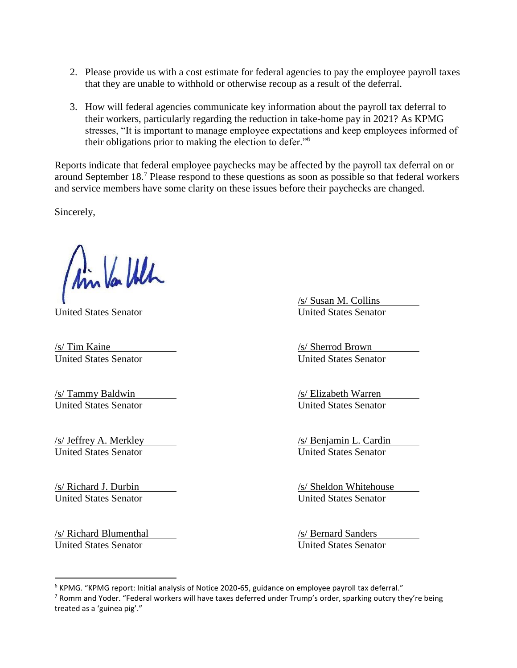- 2. Please provide us with a cost estimate for federal agencies to pay the employee payroll taxes that they are unable to withhold or otherwise recoup as a result of the deferral.
- 3. How will federal agencies communicate key information about the payroll tax deferral to their workers, particularly regarding the reduction in take-home pay in 2021? As KPMG stresses, "It is important to manage employee expectations and keep employees informed of their obligations prior to making the election to defer."<sup>6</sup>

Reports indicate that federal employee paychecks may be affected by the payroll tax deferral on or around September 18.<sup>7</sup> Please respond to these questions as soon as possible so that federal workers and service members have some clarity on these issues before their paychecks are changed.

Sincerely,

Ain Var Ulh

**United States Senator** 

*S/* Tim Kaine */s/* Tim Kaine */s/* Sherrod Brown<br> *United States Senator United States Senator* United States Senator United States Senator

/s/ Tammy Baldwin /s/ Elizabeth Warren United States Senator United States Senator

United States Senator United States Senator

United States Senator United States Senator

/s/ Richard Blumenthal /s/ Bernard Sanders United States Senator United States Senator

 $\overline{a}$ 

**S** Susan M. Collins<br>United States Senator

/s/ Jeffrey A. Merkley /s/ Benjamin L. Cardin

/s/ Richard J. Durbin /s/ Sheldon Whitehouse

<sup>&</sup>lt;sup>6</sup> KPMG. "KPMG report: Initial analysis of Notice 2020-65, guidance on employee payroll tax deferral." <sup>7</sup> Romm and Yoder. "Federal workers will have taxes deferred under Trump's order, sparking outcry they're being treated as a 'guinea pig'."